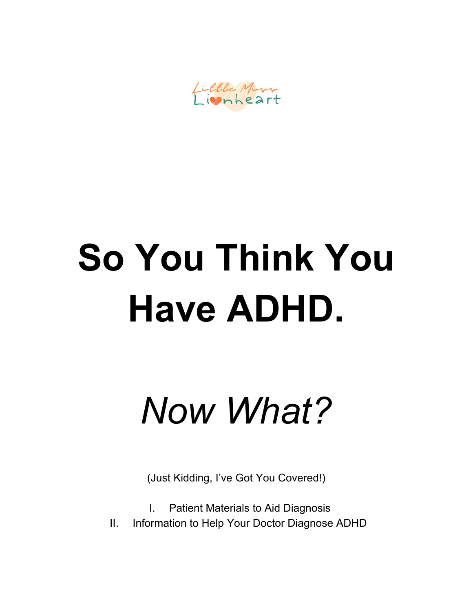Little Miss

# **So You Think You Have ADHD.**

*Now What?*

(Just Kidding, I've Got You Covered!)

I. Patient Materials to Aid Diagnosis

II. Information to Help Your Doctor Diagnose ADHD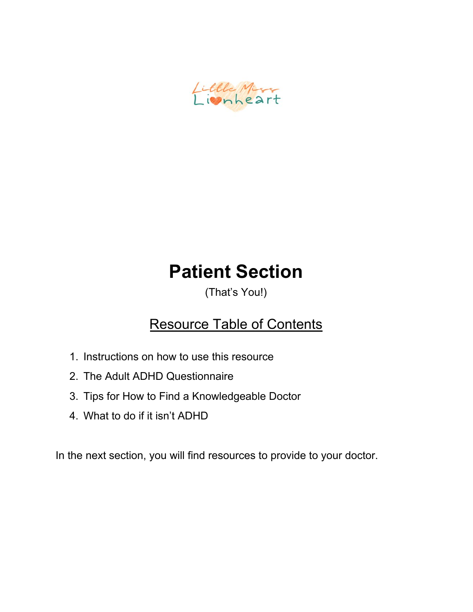

### **Patient Section**

(That's You!)

#### Resource Table of Contents

- 1. Instructions on how to use this resource
- 2. The Adult ADHD Questionnaire
- 3. Tips for How to Find a Knowledgeable Doctor
- 4. What to do if it isn't ADHD

In the next section, you will find resources to provide to your doctor.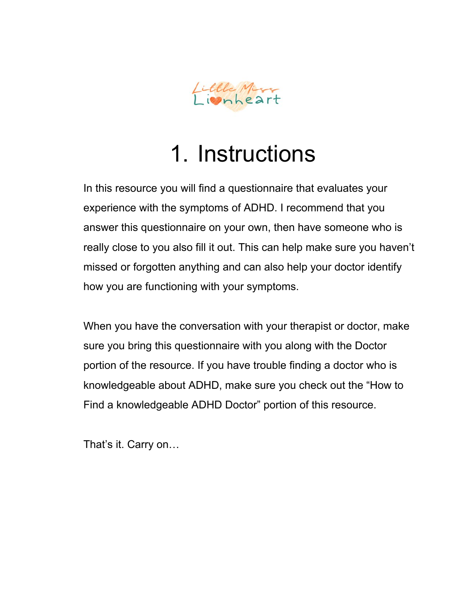

## 1. Instructions

In this resource you will find a questionnaire that evaluates your experience with the symptoms of ADHD. I recommend that you answer this questionnaire on your own, then have someone who is really close to you also fill it out. This can help make sure you haven't missed or forgotten anything and can also help your doctor identify how you are functioning with your symptoms.

When you have the conversation with your therapist or doctor, make sure you bring this questionnaire with you along with the Doctor portion of the resource. If you have trouble finding a doctor who is knowledgeable about ADHD, make sure you check out the "How to Find a knowledgeable ADHD Doctor" portion of this resource.

That's it. Carry on…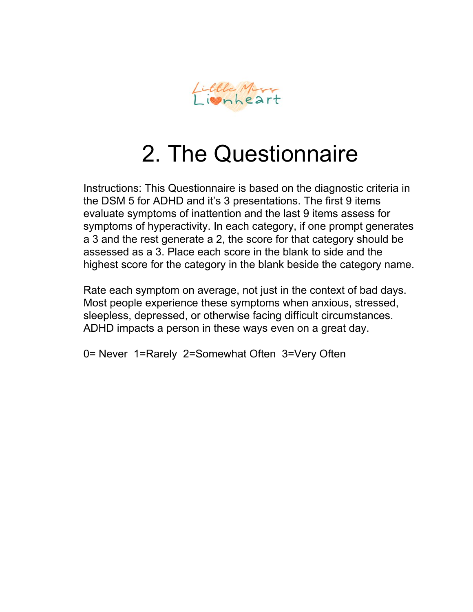

### 2. The Questionnaire

Instructions: This Questionnaire is based on the diagnostic criteria in the DSM 5 for ADHD and it's 3 presentations. The first 9 items evaluate symptoms of inattention and the last 9 items assess for symptoms of hyperactivity. In each category, if one prompt generates a 3 and the rest generate a 2, the score for that category should be assessed as a 3. Place each score in the blank to side and the highest score for the category in the blank beside the category name.

Rate each symptom on average, not just in the context of bad days. Most people experience these symptoms when anxious, stressed, sleepless, depressed, or otherwise facing difficult circumstances. ADHD impacts a person in these ways even on a great day.

0= Never 1=Rarely 2=Somewhat Often 3=Very Often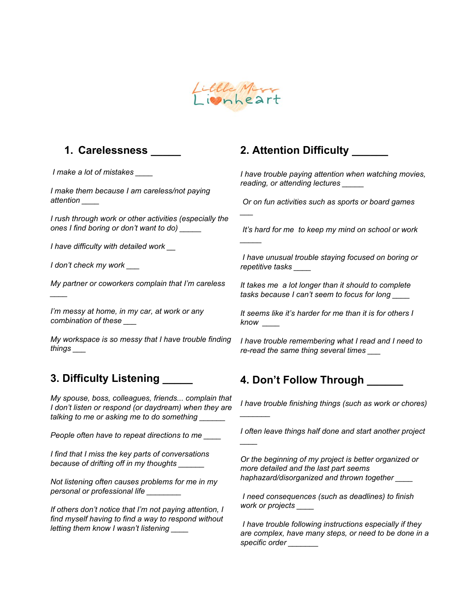

*\_\_\_*

*\_\_\_\_\_*

*\_\_\_\_\_\_\_*

*\_\_\_\_*

#### **1. Carelessness \_\_\_\_\_**

*I make a lot of mistakes \_\_\_\_*

*I make them because I am careless/not paying attention \_\_\_\_*

*I rush through work or other activities (especially the ones I find boring or don't want to do) \_\_\_\_\_*

*I have difficulty with detailed work \_\_*

*I don't check my work \_\_\_*

*\_\_\_\_*

*My partner or coworkers complain that I'm careless*

*I'm messy at home, in my car, at work or any combination of these \_\_\_*

*My workspace is so messy that I have trouble finding things \_\_\_*

#### **3. Difficulty Listening \_\_\_\_\_**

*My spouse, boss, colleagues, friends... complain that I don't listen or respond (or daydream) when they are talking to me or asking me to do something \_\_\_\_\_\_*

*People often have to repeat directions to me \_\_\_\_*

*I find that I miss the key parts of conversations because of drifting off in my thoughts \_\_\_\_\_\_*

*Not listening often causes problems for me in my personal or professional life \_\_\_\_\_\_\_\_*

*If others don't notice that I'm not paying attention, I find myself having to find a way to respond without letting them know I wasn't listening \_\_\_\_*

#### **2. Attention Difficulty \_\_\_\_\_\_**

*I have trouble paying attention when watching movies, reading, or attending lectures \_\_\_\_\_*

*Or on fun activities such as sports or board games*

*It's hard for me to keep my mind on school or work*

*I have unusual trouble staying focused on boring or repetitive tasks \_\_\_\_*

*It takes me a lot longer than it should to complete tasks because I can't seem to focus for long \_\_\_\_*

*It seems like it's harder for me than it is for others I know \_\_\_\_*

*I have trouble remembering what I read and I need to re-read the same thing several times \_\_\_*

#### **4. Don't Follow Through \_\_\_\_\_\_**

*I have trouble finishing things (such as work or chores)*

*I often leave things half done and start another project*

*Or the beginning of my project is better organized or more detailed and the last part seems haphazard/disorganized and thrown together \_\_\_\_*

*I need consequences (such as deadlines) to finish work or projects \_\_\_\_*

*I have trouble following instructions especially if they are complex, have many steps, or need to be done in a specific order \_\_\_\_\_\_\_*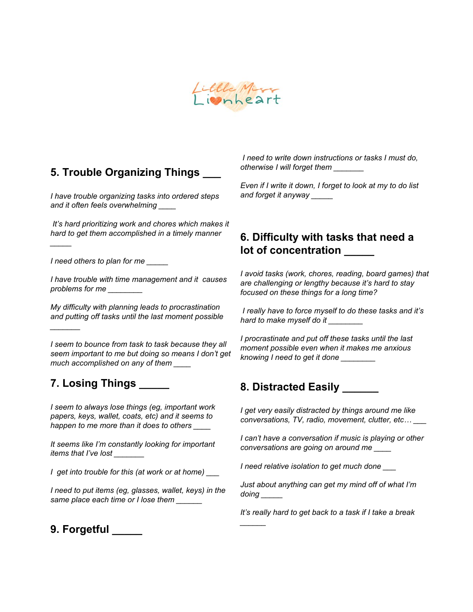

#### **5. Trouble Organizing Things \_\_\_**

*I have trouble organizing tasks into ordered steps and it often feels overwhelming \_\_\_\_*

*It's hard prioritizing work and chores which makes it hard to get them accomplished in a timely manner*

*I need others to plan for me \_\_\_\_\_*

*\_\_\_\_\_*

*\_\_\_\_\_\_\_*

*I have trouble with time management and it causes problems for me \_\_\_\_\_\_\_\_*

*My difficulty with planning leads to procrastination and putting off tasks until the last moment possible*

*I seem to bounce from task to task because they all seem important to me but doing so means I don't get much accomplished on any of them \_\_\_\_*

#### **7. Losing Things \_\_\_\_\_**

*I seem to always lose things (eg, important work papers, keys, wallet, coats, etc) and it seems to happen to me more than it does to others \_\_\_\_*

*It seems like I'm constantly looking for important items that I've lost \_\_\_\_\_\_\_*

*I get into trouble for this (at work or at home) \_\_\_*

*I need to put items (eg, glasses, wallet, keys) in the same place each time or I lose them \_\_\_\_\_\_*

*I need to write down instructions or tasks I must do, otherwise I will forget them \_\_\_\_\_\_\_*

*Even if I write it down, I forget to look at my to do list and forget it anyway \_\_\_\_\_*

#### **6. Difficulty with tasks that need a lot of concentration \_\_\_\_\_**

*I avoid tasks (work, chores, reading, board games) that are challenging or lengthy because it's hard to stay focused on these things for a long time?*

*I really have to force myself to do these tasks and it's hard to make myself do it \_\_\_\_\_\_\_\_*

*I procrastinate and put off these tasks until the last moment possible even when it makes me anxious knowing I need to get it done \_\_\_\_\_\_\_\_*

#### **8. Distracted Easily \_\_\_\_\_\_**

*I get very easily distracted by things around me like conversations, TV, radio, movement, clutter, etc… \_\_\_*

*I can't have a conversation if music is playing or other conversations are going on around me \_\_\_\_*

*I need relative isolation to get much done \_\_\_*

*\_\_\_\_\_\_*

*Just about anything can get my mind off of what I'm doing \_\_\_\_\_*

*It's really hard to get back to a task if I take a break*

**9. Forgetful \_\_\_\_\_**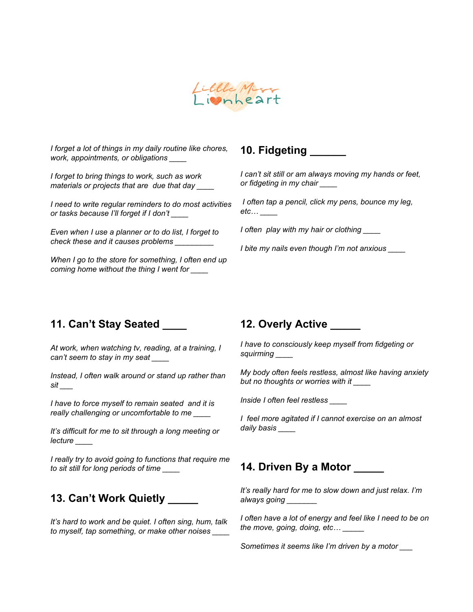

*I forget a lot of things in my daily routine like chores, work, appointments, or obligations \_\_\_\_*

*I forget to bring things to work, such as work materials or projects that are due that day \_\_\_\_*

*I need to write regular reminders to do most activities or tasks because I'll forget if I don't \_\_\_\_*

*Even when I use a planner or to do list, I forget to check these and it causes problems \_\_\_\_\_\_\_\_\_*

*When I go to the store for something, I often end up coming home without the thing I went for \_\_\_\_*

#### **10. Fidgeting \_\_\_\_\_\_**

*I can't sit still or am always moving my hands or feet, or fidgeting in my chair \_\_\_\_*

*I often tap a pencil, click my pens, bounce my leg, etc… \_\_\_\_*

*I often play with my hair or clothing \_\_\_\_*

*I bite my nails even though I'm not anxious \_\_\_\_*

#### **11. Can't Stay Seated \_\_\_\_**

*At work, when watching tv, reading, at a training, I can't seem to stay in my seat \_\_\_\_*

*Instead, I often walk around or stand up rather than sit \_\_\_*

*I have to force myself to remain seated and it is really challenging or uncomfortable to me \_\_\_\_*

*It's difficult for me to sit through a long meeting or lecture \_\_\_\_*

*I really try to avoid going to functions that require me to sit still for long periods of time \_\_\_\_*

#### **13. Can't Work Quietly \_\_\_\_\_**

*It's hard to work and be quiet. I often sing, hum, talk to myself, tap something, or make other noises \_\_\_\_*

#### **12. Overly Active \_\_\_\_\_**

*I have to consciously keep myself from fidgeting or squirming \_\_\_\_*

*My body often feels restless, almost like having anxiety but no thoughts or worries with it \_\_\_\_*

*Inside I often feel restless \_\_\_\_*

*I feel more agitated if I cannot exercise on an almost daily basis \_\_\_\_*

#### **14. Driven By a Motor \_\_\_\_\_**

*It's really hard for me to slow down and just relax. I'm always going \_\_\_\_\_\_\_*

*I often have a lot of energy and feel like I need to be on the move, going, doing, etc… \_\_\_\_\_*

*Sometimes it seems like I'm driven by a motor \_\_\_*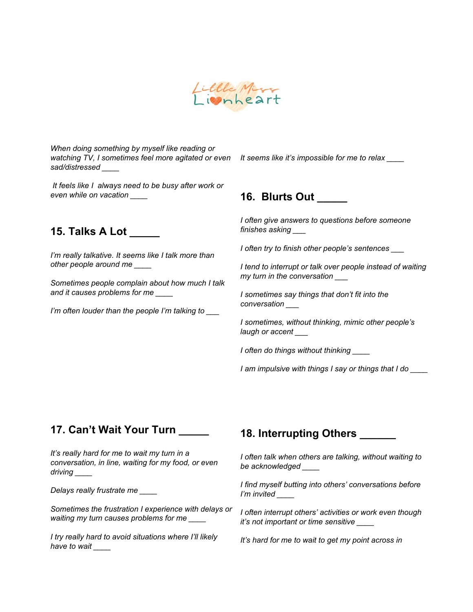

*When doing something by myself like reading or watching TV, I sometimes feel more agitated or even sad/distressed \_\_\_\_*

*It feels like I always need to be busy after work or even while on vacation \_\_\_\_*

#### **15. Talks A Lot \_\_\_\_\_**

*I'm really talkative. It seems like I talk more than other people around me \_\_\_\_*

*Sometimes people complain about how much I talk and it causes problems for me \_\_\_\_*

*I'm often louder than the people I'm talking to \_\_\_*

*It seems like it's impossible for me to relax \_\_\_\_*

#### **16. Blurts Out \_\_\_\_\_**

*I often give answers to questions before someone finishes asking \_\_\_*

*I often try to finish other people's sentences \_\_\_*

*I tend to interrupt or talk over people instead of waiting my turn in the conversation \_\_\_*

*I sometimes say things that don't fit into the conversation \_\_\_*

*I sometimes, without thinking, mimic other people's laugh or accent \_\_\_*

*I often do things without thinking \_\_\_\_*

*I am impulsive with things I say or things that I do \_\_\_\_*

#### **17. Can't Wait Your Turn \_\_\_\_\_**

*It's really hard for me to wait my turn in a conversation, in line, waiting for my food, or even driving \_\_\_\_*

*Delays really frustrate me \_\_\_\_*

*Sometimes the frustration I experience with delays or waiting my turn causes problems for me \_\_\_\_*

*I try really hard to avoid situations where I'll likely have to wait \_\_\_\_*

#### **18. Interrupting Others \_\_\_\_\_\_**

*I often talk when others are talking, without waiting to be acknowledged \_\_\_\_*

*I find myself butting into others' conversations before I'm invited \_\_\_\_*

*I often interrupt others' activities or work even though it's not important or time sensitive \_\_\_\_*

*It's hard for me to wait to get my point across in*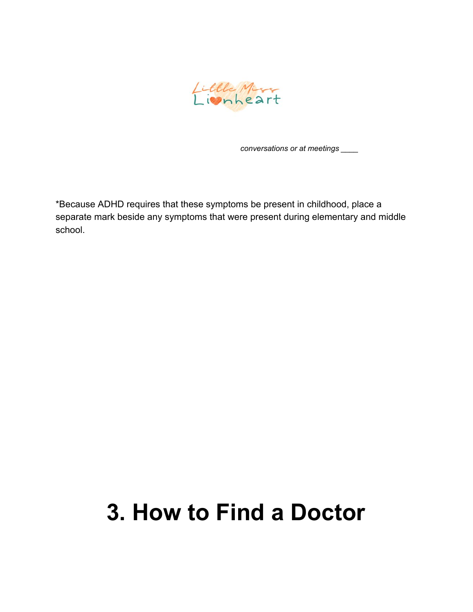

*conversations or at meetings \_\_\_\_*

\*Because ADHD requires that these symptoms be present in childhood, place a separate mark beside any symptoms that were present during elementary and middle school.

### **3. How to Find a Doctor**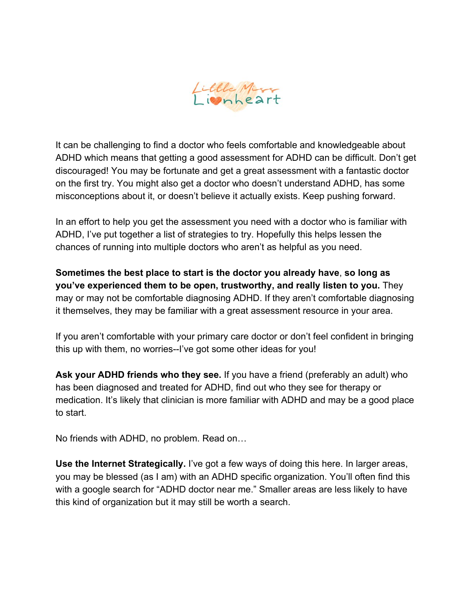

It can be challenging to find a doctor who feels comfortable and knowledgeable about ADHD which means that getting a good assessment for ADHD can be difficult. Don't get discouraged! You may be fortunate and get a great assessment with a fantastic doctor on the first try. You might also get a doctor who doesn't understand ADHD, has some misconceptions about it, or doesn't believe it actually exists. Keep pushing forward.

In an effort to help you get the assessment you need with a doctor who is familiar with ADHD, I've put together a list of strategies to try. Hopefully this helps lessen the chances of running into multiple doctors who aren't as helpful as you need.

**Sometimes the best place to start is the doctor you already have**, **so long as you've experienced them to be open, trustworthy, and really listen to you.** They may or may not be comfortable diagnosing ADHD. If they aren't comfortable diagnosing it themselves, they may be familiar with a great assessment resource in your area.

If you aren't comfortable with your primary care doctor or don't feel confident in bringing this up with them, no worries--I've got some other ideas for you!

**Ask your ADHD friends who they see.** If you have a friend (preferably an adult) who has been diagnosed and treated for ADHD, find out who they see for therapy or medication. It's likely that clinician is more familiar with ADHD and may be a good place to start.

No friends with ADHD, no problem. Read on…

**Use the Internet Strategically.** I've got a few ways of doing this here. In larger areas, you may be blessed (as I am) with an ADHD specific organization. You'll often find this with a google search for "ADHD doctor near me." Smaller areas are less likely to have this kind of organization but it may still be worth a search.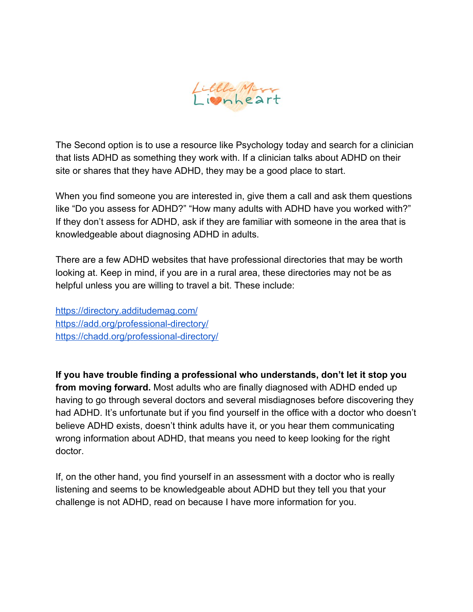

The Second option is to use a resource like Psychology today and search for a clinician that lists ADHD as something they work with. If a clinician talks about ADHD on their site or shares that they have ADHD, they may be a good place to start.

When you find someone you are interested in, give them a call and ask them questions like "Do you assess for ADHD?" "How many adults with ADHD have you worked with?" If they don't assess for ADHD, ask if they are familiar with someone in the area that is knowledgeable about diagnosing ADHD in adults.

There are a few ADHD websites that have professional directories that may be worth looking at. Keep in mind, if you are in a rural area, these directories may not be as helpful unless you are willing to travel a bit. These include:

<https://directory.additudemag.com/> <https://add.org/professional-directory/> <https://chadd.org/professional-directory/>

**If you have trouble finding a professional who understands, don't let it stop you from moving forward.** Most adults who are finally diagnosed with ADHD ended up having to go through several doctors and several misdiagnoses before discovering they had ADHD. It's unfortunate but if you find yourself in the office with a doctor who doesn't believe ADHD exists, doesn't think adults have it, or you hear them communicating wrong information about ADHD, that means you need to keep looking for the right doctor.

If, on the other hand, you find yourself in an assessment with a doctor who is really listening and seems to be knowledgeable about ADHD but they tell you that your challenge is not ADHD, read on because I have more information for you.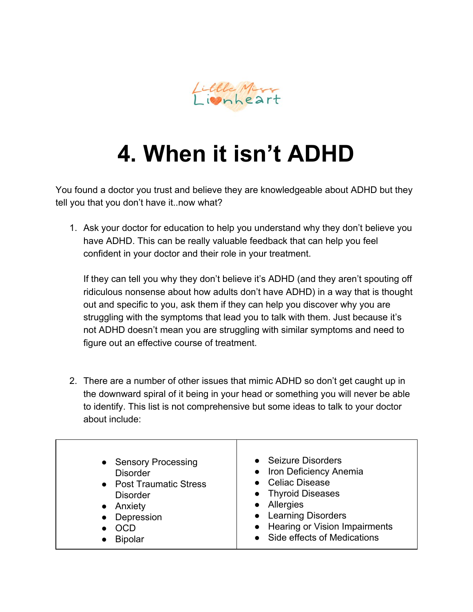

# **4. When it isn't ADHD**

You found a doctor you trust and believe they are knowledgeable about ADHD but they tell you that you don't have it..now what?

1. Ask your doctor for education to help you understand why they don't believe you have ADHD. This can be really valuable feedback that can help you feel confident in your doctor and their role in your treatment.

If they can tell you why they don't believe it's ADHD (and they aren't spouting off ridiculous nonsense about how adults don't have ADHD) in a way that is thought out and specific to you, ask them if they can help you discover why you are struggling with the symptoms that lead you to talk with them. Just because it's not ADHD doesn't mean you are struggling with similar symptoms and need to figure out an effective course of treatment.

2. There are a number of other issues that mimic ADHD so don't get caught up in the downward spiral of it being in your head or something you will never be able to identify. This list is not comprehensive but some ideas to talk to your doctor about include:

| • Sensory Processing    | • Seizure Disorders             |
|-------------------------|---------------------------------|
| <b>Disorder</b>         | • Iron Deficiency Anemia        |
| • Post Traumatic Stress | • Celiac Disease                |
| <b>Disorder</b>         | • Thyroid Diseases              |
| • Anxiety               | • Allergies                     |
| • Depression            | • Learning Disorders            |
| <b>OCD</b>              | • Hearing or Vision Impairments |
| <b>Bipolar</b>          | • Side effects of Medications   |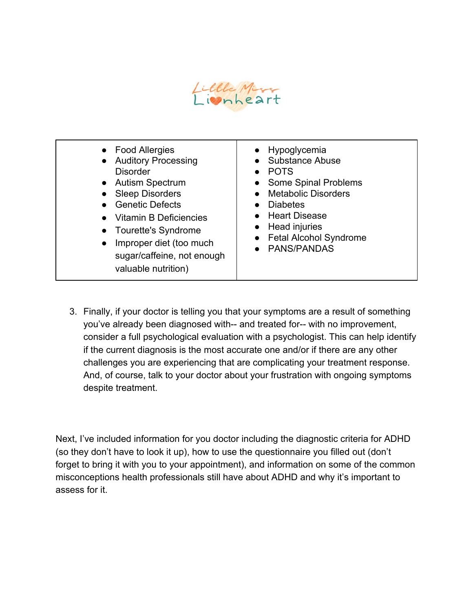

| • Food Allergies<br>• Auditory Processing<br><b>Disorder</b><br>• Autism Spectrum<br><b>Sleep Disorders</b><br><b>Genetic Defects</b><br>$\bullet$<br>• Vitamin B Deficiencies<br>• Tourette's Syndrome<br>Improper diet (too much<br>$\bullet$<br>sugar/caffeine, not enough<br>valuable nutrition) | • Hypoglycemia<br><b>Substance Abuse</b><br><b>POTS</b><br>Some Spinal Problems<br><b>Metabolic Disorders</b><br><b>Diabetes</b><br>• Heart Disease<br>Head injuries<br><b>Fetal Alcohol Syndrome</b><br><b>PANS/PANDAS</b> |
|------------------------------------------------------------------------------------------------------------------------------------------------------------------------------------------------------------------------------------------------------------------------------------------------------|-----------------------------------------------------------------------------------------------------------------------------------------------------------------------------------------------------------------------------|
|------------------------------------------------------------------------------------------------------------------------------------------------------------------------------------------------------------------------------------------------------------------------------------------------------|-----------------------------------------------------------------------------------------------------------------------------------------------------------------------------------------------------------------------------|

3. Finally, if your doctor is telling you that your symptoms are a result of something you've already been diagnosed with-- and treated for-- with no improvement, consider a full psychological evaluation with a psychologist. This can help identify if the current diagnosis is the most accurate one and/or if there are any other challenges you are experiencing that are complicating your treatment response. And, of course, talk to your doctor about your frustration with ongoing symptoms despite treatment.

Next, I've included information for you doctor including the diagnostic criteria for ADHD (so they don't have to look it up), how to use the questionnaire you filled out (don't forget to bring it with you to your appointment), and information on some of the common misconceptions health professionals still have about ADHD and why it's important to assess for it.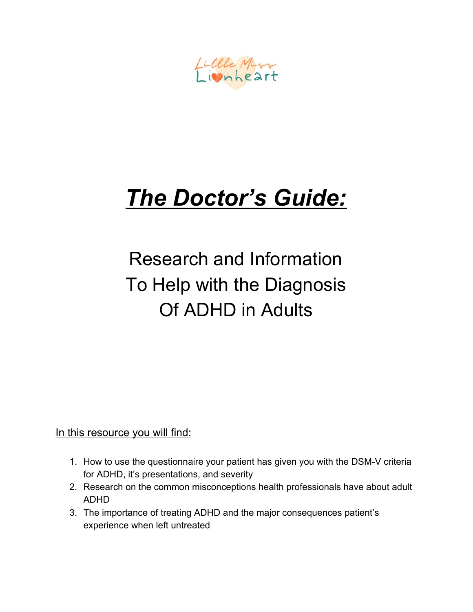Little Miss

# *The Doctor's Guide:*

Research and Information To Help with the Diagnosis Of ADHD in Adults

In this resource you will find:

- 1. How to use the questionnaire your patient has given you with the DSM-V criteria for ADHD, it's presentations, and severity
- 2. Research on the common misconceptions health professionals have about adult ADHD
- 3. The importance of treating ADHD and the major consequences patient's experience when left untreated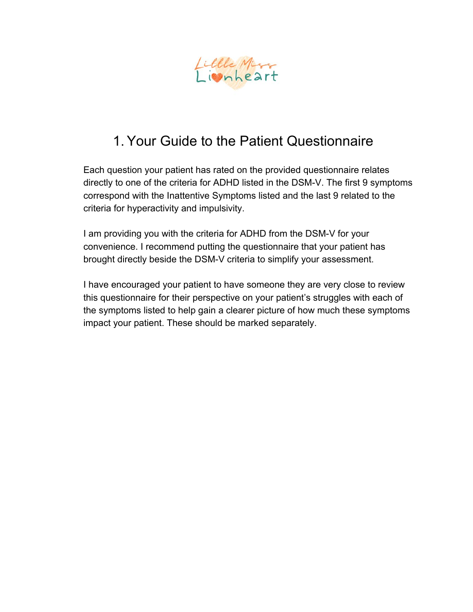

#### 1. Your Guide to the Patient Questionnaire

Each question your patient has rated on the provided questionnaire relates directly to one of the criteria for ADHD listed in the DSM-V. The first 9 symptoms correspond with the Inattentive Symptoms listed and the last 9 related to the criteria for hyperactivity and impulsivity.

I am providing you with the criteria for ADHD from the DSM-V for your convenience. I recommend putting the questionnaire that your patient has brought directly beside the DSM-V criteria to simplify your assessment.

I have encouraged your patient to have someone they are very close to review this questionnaire for their perspective on your patient's struggles with each of the symptoms listed to help gain a clearer picture of how much these symptoms impact your patient. These should be marked separately.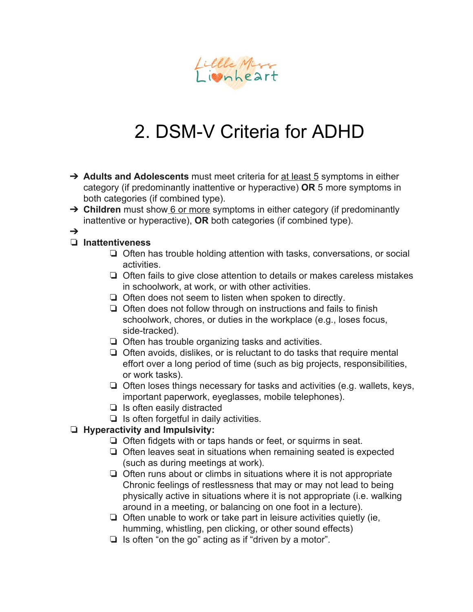

### 2. DSM-V Criteria for ADHD

- ➔ **Adults and Adolescents** must meet criteria for at least 5 symptoms in either category (if predominantly inattentive or hyperactive) **OR** 5 more symptoms in both categories (if combined type).
- ➔ **Children** must show 6 or more symptoms in either category (if predominantly inattentive or hyperactive), **OR** both categories (if combined type).
- ➔

#### ❏ **Inattentiveness**

- ❏ Often has trouble holding attention with tasks, conversations, or social activities.
- ❏ Often fails to give close attention to details or makes careless mistakes in schoolwork, at work, or with other activities.
- ❏ Often does not seem to listen when spoken to directly.
- ❏ Often does not follow through on instructions and fails to finish schoolwork, chores, or duties in the workplace (e.g., loses focus, side-tracked).
- ❏ Often has trouble organizing tasks and activities.
- ❏ Often avoids, dislikes, or is reluctant to do tasks that require mental effort over a long period of time (such as big projects, responsibilities, or work tasks).
- ❏ Often loses things necessary for tasks and activities (e.g. wallets, keys, important paperwork, eyeglasses, mobile telephones).
- ❏ Is often easily distracted
- ❏ Is often forgetful in daily activities.

#### ❏ **Hyperactivity and Impulsivity:**

- ❏ Often fidgets with or taps hands or feet, or squirms in seat.
- ❏ Often leaves seat in situations when remaining seated is expected (such as during meetings at work).
- ❏ Often runs about or climbs in situations where it is not appropriate Chronic feelings of restlessness that may or may not lead to being physically active in situations where it is not appropriate (i.e. walking around in a meeting, or balancing on one foot in a lecture).
- ❏ Often unable to work or take part in leisure activities quietly (ie, humming, whistling, pen clicking, or other sound effects)
- ❏ Is often "on the go" acting as if "driven by a motor".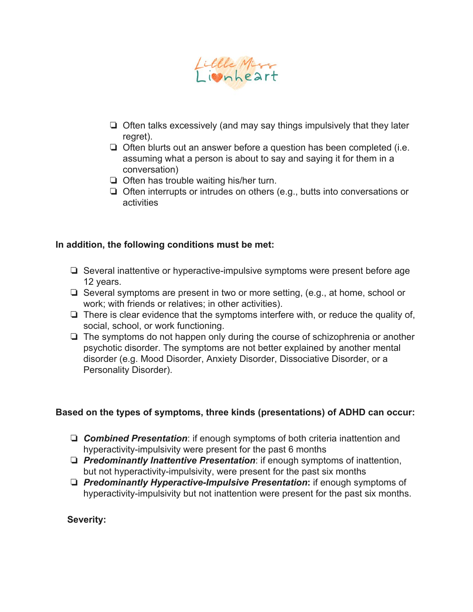

- ❏ Often talks excessively (and may say things impulsively that they later regret).
- ❏ Often blurts out an answer before a question has been completed (i.e. assuming what a person is about to say and saying it for them in a conversation)
- ❏ Often has trouble waiting his/her turn.
- ❏ Often interrupts or intrudes on others (e.g., butts into conversations or activities

#### **In addition, the following conditions must be met:**

- ❏ Several inattentive or hyperactive-impulsive symptoms were present before age 12 years.
- ❏ Several symptoms are present in two or more setting, (e.g., at home, school or work; with friends or relatives; in other activities).
- ❏ There is clear evidence that the symptoms interfere with, or reduce the quality of, social, school, or work functioning.
- ❏ The symptoms do not happen only during the course of schizophrenia or another psychotic disorder. The symptoms are not better explained by another mental disorder (e.g. Mood Disorder, Anxiety Disorder, Dissociative Disorder, or a Personality Disorder).

#### **Based on the types of symptoms, three kinds (presentations) of ADHD can occur:**

- ❏ *Combined Presentation*: if enough symptoms of both criteria inattention and hyperactivity-impulsivity were present for the past 6 months
- ❏ *Predominantly Inattentive Presentation*: if enough symptoms of inattention, but not hyperactivity-impulsivity, were present for the past six months
- ❏ *Predominantly Hyperactive-Impulsive Presentation***:** if enough symptoms of hyperactivity-impulsivity but not inattention were present for the past six months.

**Severity:**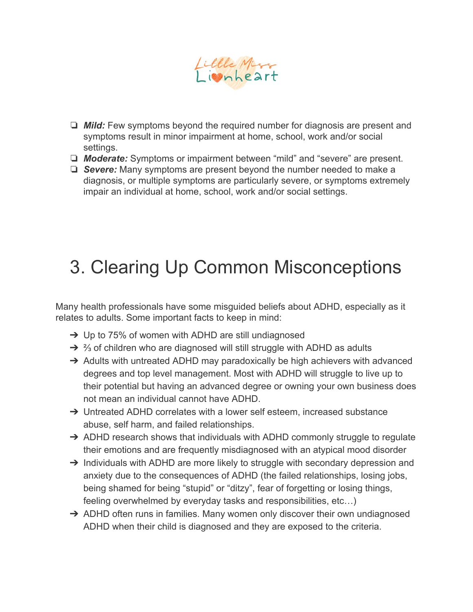

- ❏ *Mild:* Few symptoms beyond the required number for diagnosis are present and symptoms result in minor impairment at home, school, work and/or social settings.
- ❏ *Moderate:* Symptoms or impairment between "mild" and "severe" are present.
- ❏ *Severe:* Many symptoms are present beyond the number needed to make a diagnosis, or multiple symptoms are particularly severe, or symptoms extremely impair an individual at home, school, work and/or social settings.

### 3. Clearing Up Common Misconceptions

Many health professionals have some misguided beliefs about ADHD, especially as it relates to adults. Some important facts to keep in mind:

- $\rightarrow$  Up to 75% of women with ADHD are still undiagnosed
- →  $\frac{2}{3}$  of children who are diagnosed will still struggle with ADHD as adults
- → Adults with untreated ADHD may paradoxically be high achievers with advanced degrees and top level management. Most with ADHD will struggle to live up to their potential but having an advanced degree or owning your own business does not mean an individual cannot have ADHD.
- → Untreated ADHD correlates with a lower self esteem, increased substance abuse, self harm, and failed relationships.
- → ADHD research shows that individuals with ADHD commonly struggle to regulate their emotions and are frequently misdiagnosed with an atypical mood disorder
- → Individuals with ADHD are more likely to struggle with secondary depression and anxiety due to the consequences of ADHD (the failed relationships, losing jobs, being shamed for being "stupid" or "ditzy", fear of forgetting or losing things, feeling overwhelmed by everyday tasks and responsibilities, etc…)
- → ADHD often runs in families. Many women only discover their own undiagnosed ADHD when their child is diagnosed and they are exposed to the criteria.